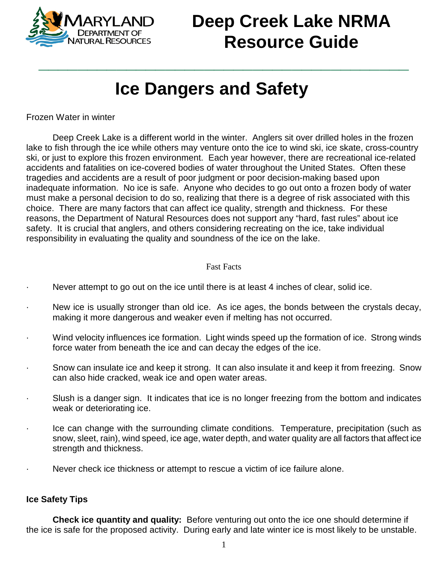

## **Deep Creek Lake NRMA Resource Guide**

## **Ice Dangers and Safety**

**\_\_\_\_\_\_\_\_\_\_\_\_\_\_\_\_\_\_\_\_\_\_\_\_\_\_\_\_\_\_\_\_\_\_\_\_\_\_**

Frozen Water in winter

Deep Creek Lake is a different world in the winter. Anglers sit over drilled holes in the frozen lake to fish through the ice while others may venture onto the ice to wind ski, ice skate, cross-country ski, or just to explore this frozen environment. Each year however, there are recreational ice-related accidents and fatalities on ice-covered bodies of water throughout the United States. Often these tragedies and accidents are a result of poor judgment or poor decision-making based upon inadequate information. No ice is safe. Anyone who decides to go out onto a frozen body of water must make a personal decision to do so, realizing that there is a degree of risk associated with this choice. There are many factors that can affect ice quality, strength and thickness. For these reasons, the Department of Natural Resources does not support any "hard, fast rules" about ice safety. It is crucial that anglers, and others considering recreating on the ice, take individual responsibility in evaluating the quality and soundness of the ice on the lake.

## Fast Facts

- Never attempt to go out on the ice until there is at least 4 inches of clear, solid ice.
- · New ice is usually stronger than old ice. As ice ages, the bonds between the crystals decay, making it more dangerous and weaker even if melting has not occurred.
- Wind velocity influences ice formation. Light winds speed up the formation of ice. Strong winds force water from beneath the ice and can decay the edges of the ice.
- · Snow can insulate ice and keep it strong. It can also insulate it and keep it from freezing. Snow can also hide cracked, weak ice and open water areas.
- · Slush is a danger sign. It indicates that ice is no longer freezing from the bottom and indicates weak or deteriorating ice.
- · Ice can change with the surrounding climate conditions. Temperature, precipitation (such as snow, sleet, rain), wind speed, ice age, water depth, and water quality are all factors that affect ice strength and thickness.
- · Never check ice thickness or attempt to rescue a victim of ice failure alone.

## **Ice Safety Tips**

**Check ice quantity and quality:** Before venturing out onto the ice one should determine if the ice is safe for the proposed activity. During early and late winter ice is most likely to be unstable.